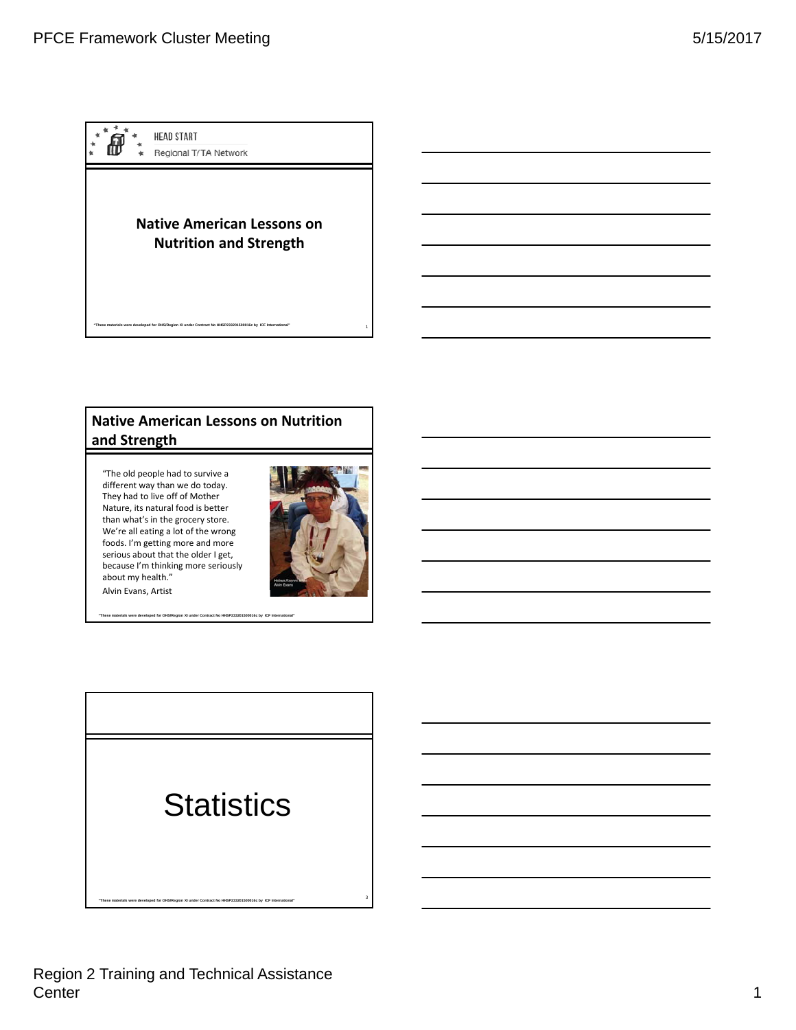

# **Native American Lessons on Nutrition and Strength**

"The old people had to survive a different way than we do today. They had to live off of Mother Nature, its natural food is better than what's in the grocery store. We're all eating a lot of the wrong foods. I'm getting more and more serious about that the older I get, because I'm thinking more seriously about my health." Alvin Evans, Artist



**"These materials were developed for OHS/Region XI under Contract No HHSP233201500016c by ICF International"** 

**Statistics** 

<sup>3</sup> **"These materials were developed for OHS/Region XI under Contract No HHSP233201500016c by ICF International"** 

Region 2 Training and Technical Assistance Center 2008 and 2008 and 2008 and 2008 and 2008 and 2008 and 2008 and 2008 and 2008 and 2008 and 2008 and 2008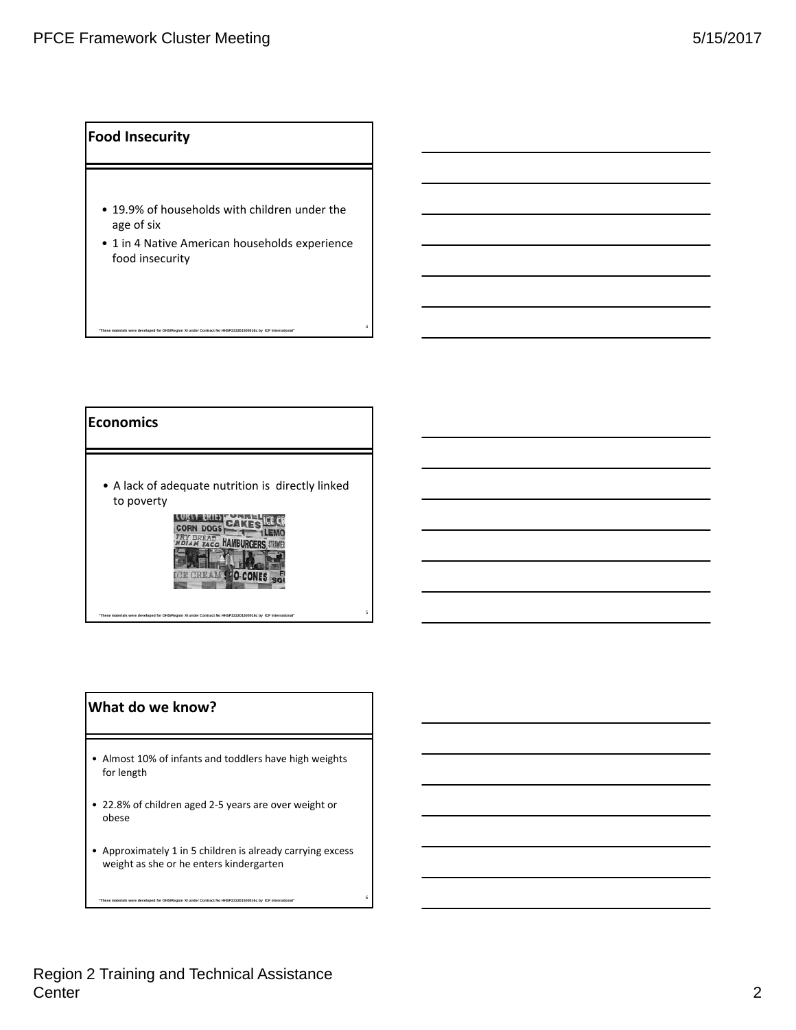### **Food Insecurity**

- 19.9% of households with children under the age of six g
- 1 in 4 Native American households experience food insecurity

**"These materials were developed for OHS/Region XI under Contract No HHSP233201500016c by ICF International"** 

4

### **Economics**

• A lack of adequate nutrition is directly linked to poverty



<sup>5</sup> **"These materials were developed for OHS/Region XI under Contract No HHSP233201500016c by ICF International"** 

### **What do we know?**

- Almost 10% of infants and toddlers have high weights for length
- 22.8% of children aged 2‐5 years are over weight or obese
- Approximately 1 in 5 children is already carrying excess weight as she or he enters kindergarten

<sup>6</sup> **"These materials were developed for OHS/Region XI under Contract No HHSP233201500016c by ICF International"**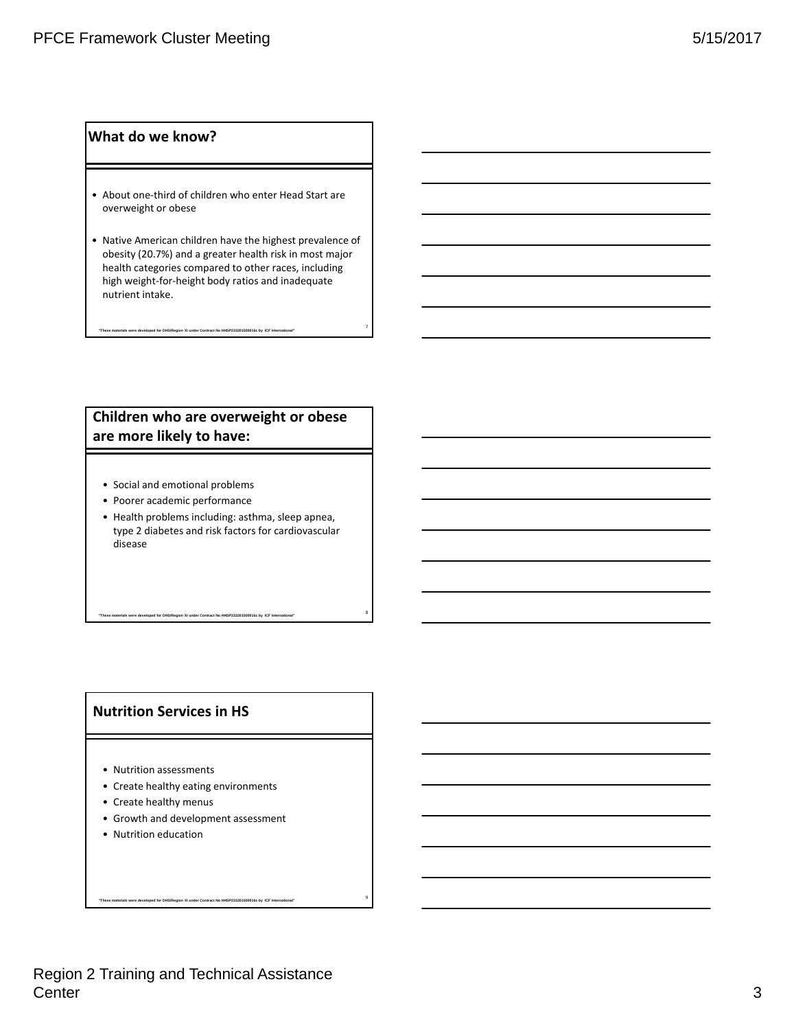### **What do we know?**

- About one‐third of children who enter Head Start are overweight or obese
- Native American children have the highest prevalence of obesity (20.7%) and a greater health risk in most major health categories compared to other races, including high weight‐for‐height body ratios and inadequate nutrient intake.

<sup>7</sup> **"These materials were developed for OHS/Region XI under Contract No HHSP233201500016c by ICF International"** 

### **Children who are overweight or obese are more likely to have:**

- Social and emotional problems
- Poorer academic performance
- Health problems including: asthma, sleep apnea, type 2 diabetes and risk factors for cardiovascular disease

<sup>8</sup> **"These materials were developed for OHS/Region XI under Contract No HHSP233201500016c by ICF International"** 

### **Nutrition Services in HS**

- Nutrition assessments
- Create healthy eating environments
- Create healthy menus
- Growth and development assessment

<sup>9</sup> **"These materials were developed for OHS/Region XI under Contract No HHSP233201500016c by ICF International"** 

• Nutrition education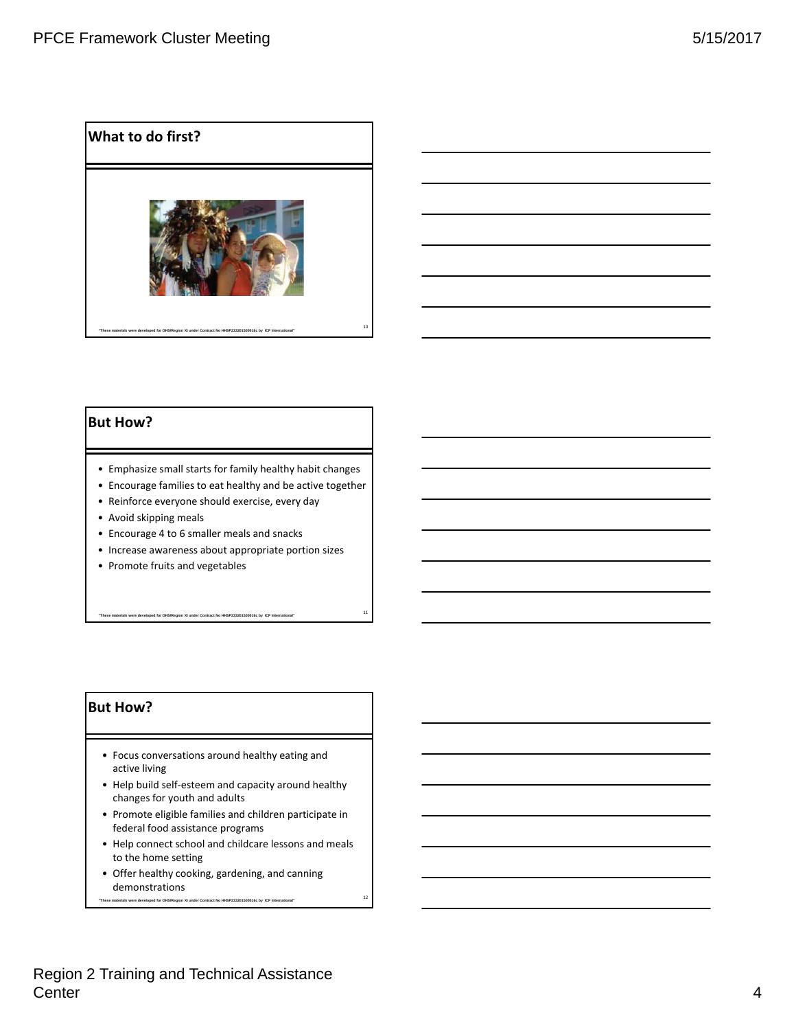



### **But How?**

- Emphasize small starts for family healthy habit changes
- Encourage families to eat healthy and be active together
- Reinforce everyone should exercise, every day
- Avoid skipping meals
- Encourage 4 to 6 smaller meals and snacks
- Increase awareness about appropriate portion sizes

<sup>11</sup> **"These materials were developed for OHS/Region XI under Contract No HHSP233201500016c by ICF International"** 

• Promote fruits and vegetables

### **But How?**

- Focus conversations around healthy eating and active living
- Help build self‐esteem and capacity around healthy changes for youth and adults
- Promote eligible families and children participate in federal food assistance programs
- Help connect school and childcare lessons and meals to the home setting

<sup>12</sup> **"These materials were developed for OHS/Region XI under Contract No HHSP233201500016c by ICF International"** 

• Offer healthy cooking, gardening, and canning demonstrations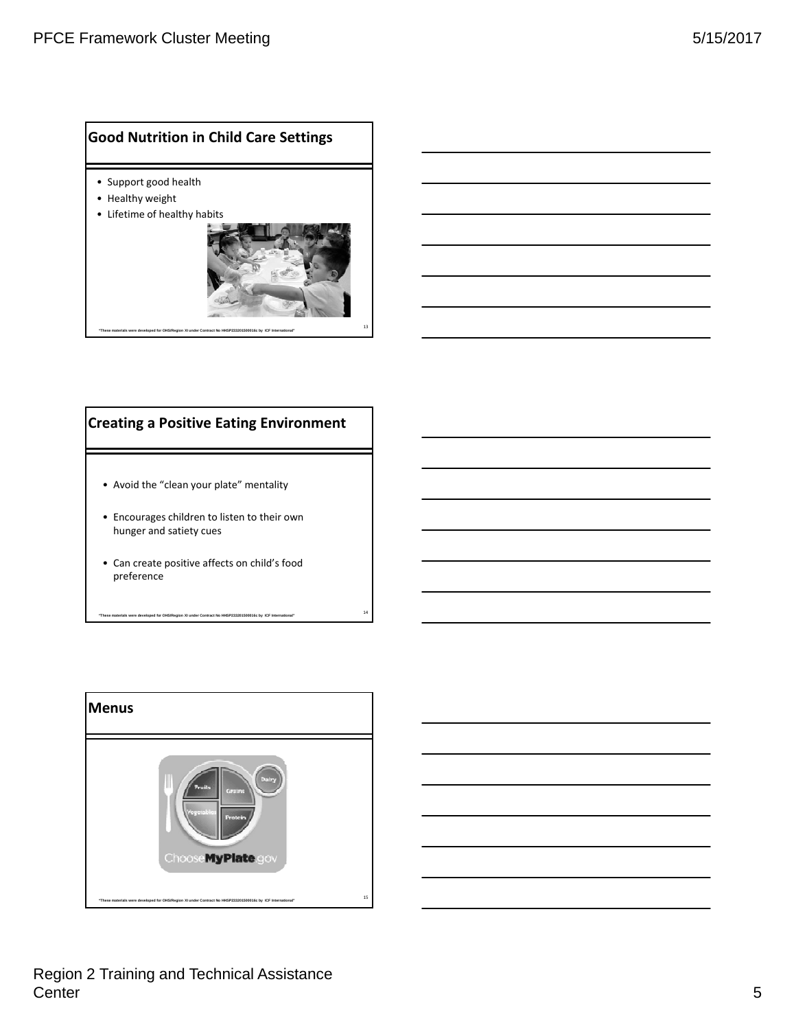### **Good Nutrition in Child Care Settings**

- Support good health
- Healthy weight
- Lifetime of healthy habits



# **Creating a Positive Eating Environment**

- Avoid the "clean your plate" mentality
- Encourages children to listen to their own hunger and satiety cues
- Can create positive affects on child's food preference

<sup>14</sup> **"These materials were developed for OHS/Region XI under Contract No HHSP233201500016c by ICF International"** 



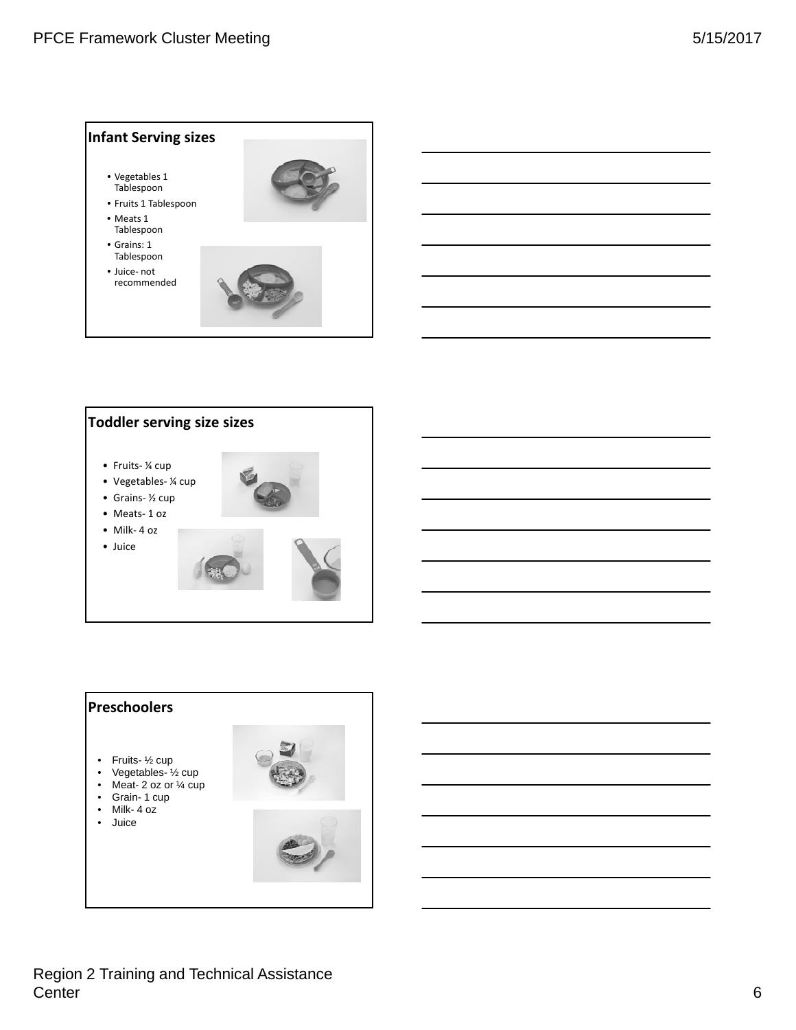





Region 2 Training and Technical Assistance Center 6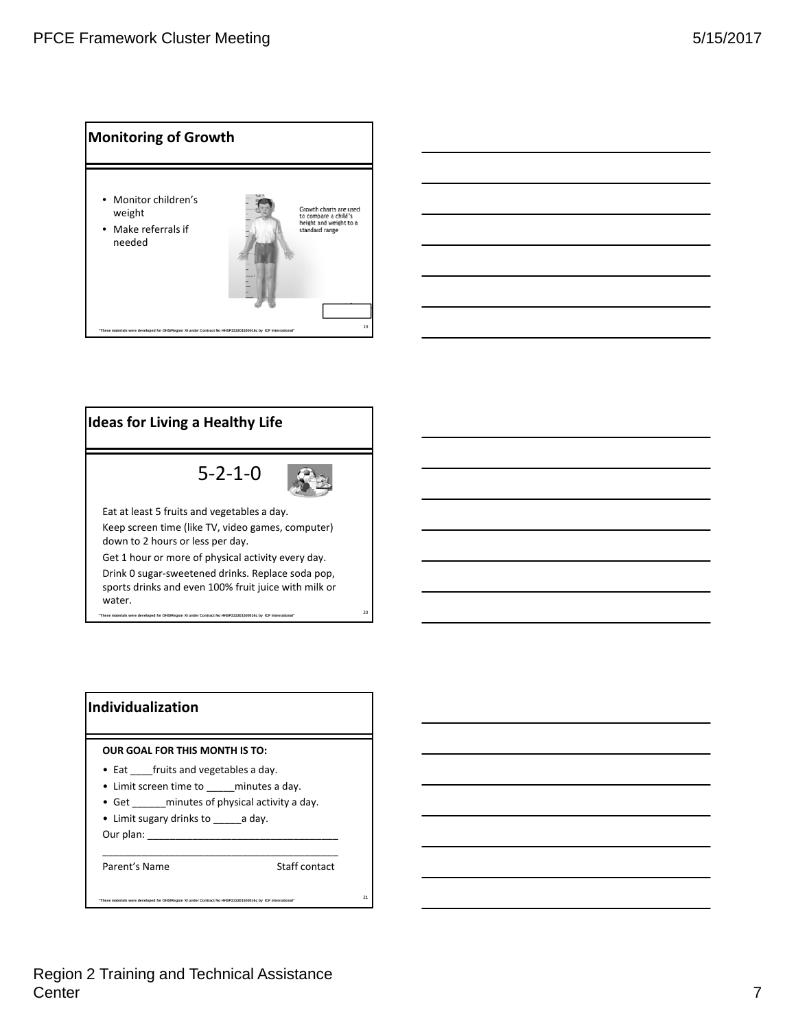





# **Individualization**

#### **OUR GOAL FOR THIS MONTH IS TO:**

- Eat \_\_\_\_fruits and vegetables a day.
- Limit screen time to \_\_\_\_\_ minutes a day.
- Get \_\_\_\_\_\_ minutes of physical activity a day.

\_\_\_\_\_\_\_\_\_\_\_\_\_\_\_\_\_\_\_\_\_\_\_\_\_\_\_\_\_\_\_\_\_\_\_\_\_\_\_\_\_\_

<sup>21</sup> **"These materials were developed for OHS/Region XI under Contract No HHSP233201500016c by ICF International"** 

• Limit sugary drinks to \_\_\_\_\_\_ a day. Our plan:

Parent's Name Staff contact

# Region 2 Training and Technical Assistance Center 7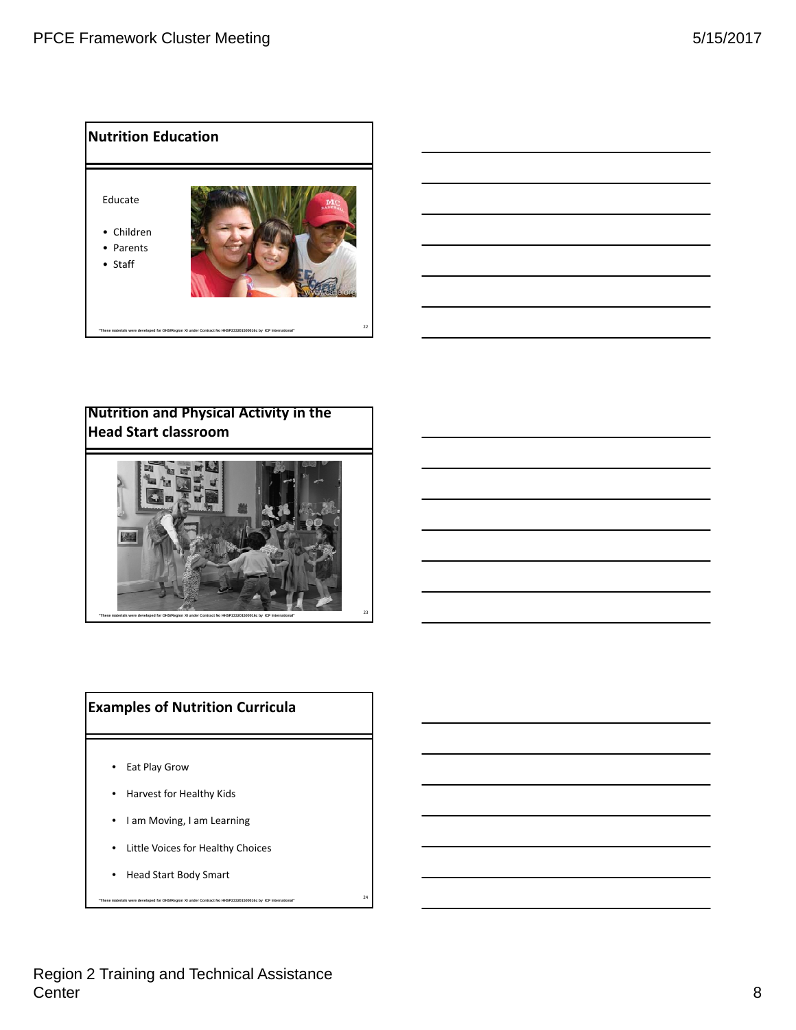

# **Nutrition and Physical Activity in the Head Start classroom**



# **Examples of Nutrition Curricula**

- Eat Play Grow
- Harvest for Healthy Kids
- I am Moving, I am Learning
- Little Voices for Healthy Choices

<sup>24</sup> **"These materials were developed for OHS/Region XI under Contract No HHSP233201500016c by ICF International"** 

• Head Start Body Smart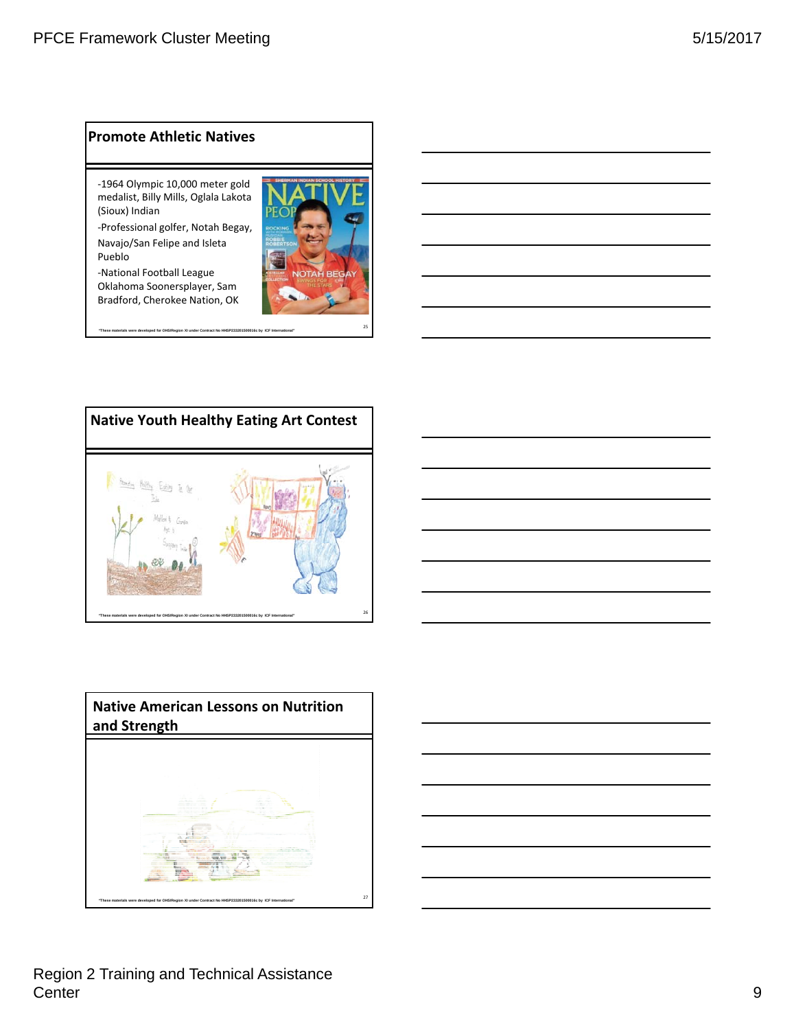### **Promote Athletic Natives**

‐1964 Olympic 10,000 meter gold medalist, Billy Mills, Oglala Lakota (Sioux) Indian

‐Professional golfer, Notah Begay, Navajo/San Felipe and Isleta Pueblo

‐National Football League Oklahoma Soonersplayer, Sam Bradford, Cherokee Nation, OK





<sup>25</sup> **"These materials were developed for OHS/Region XI under Contract No HHSP233201500016c by ICF International"** 



### Region 2 Training and Technical Assistance Center the contract of the contract of the contract of the contract of the contract of the contract of the contract of the contract of the contract of the contract of the contract of the contract of the contract of the con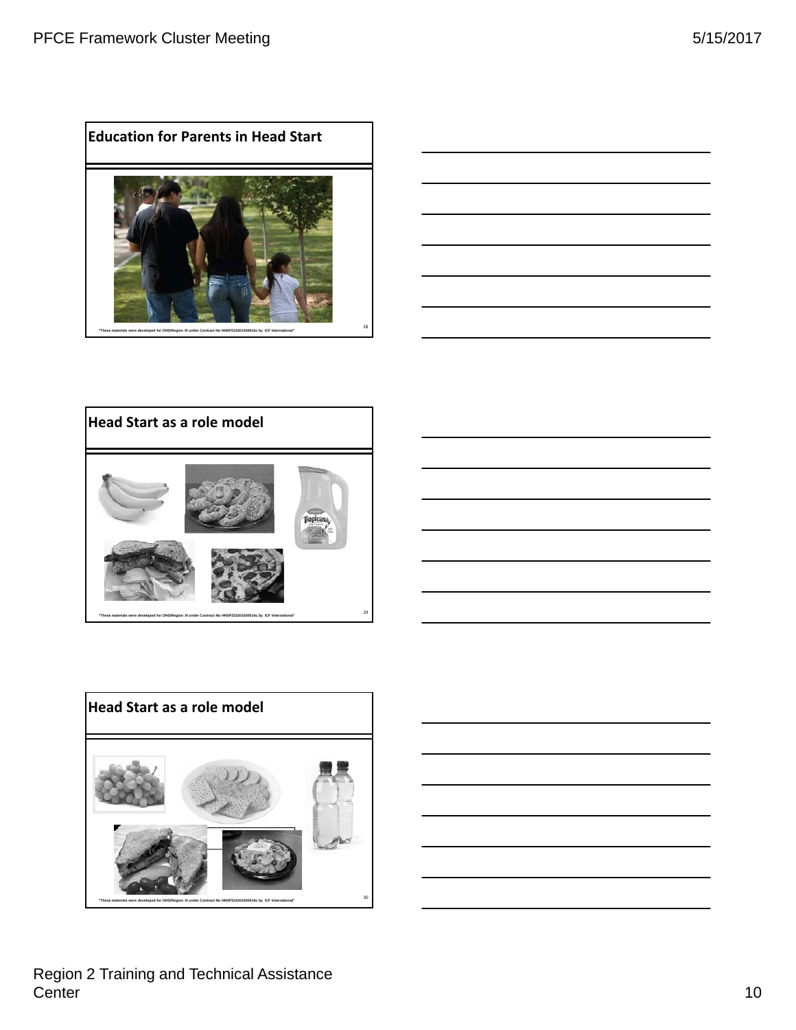









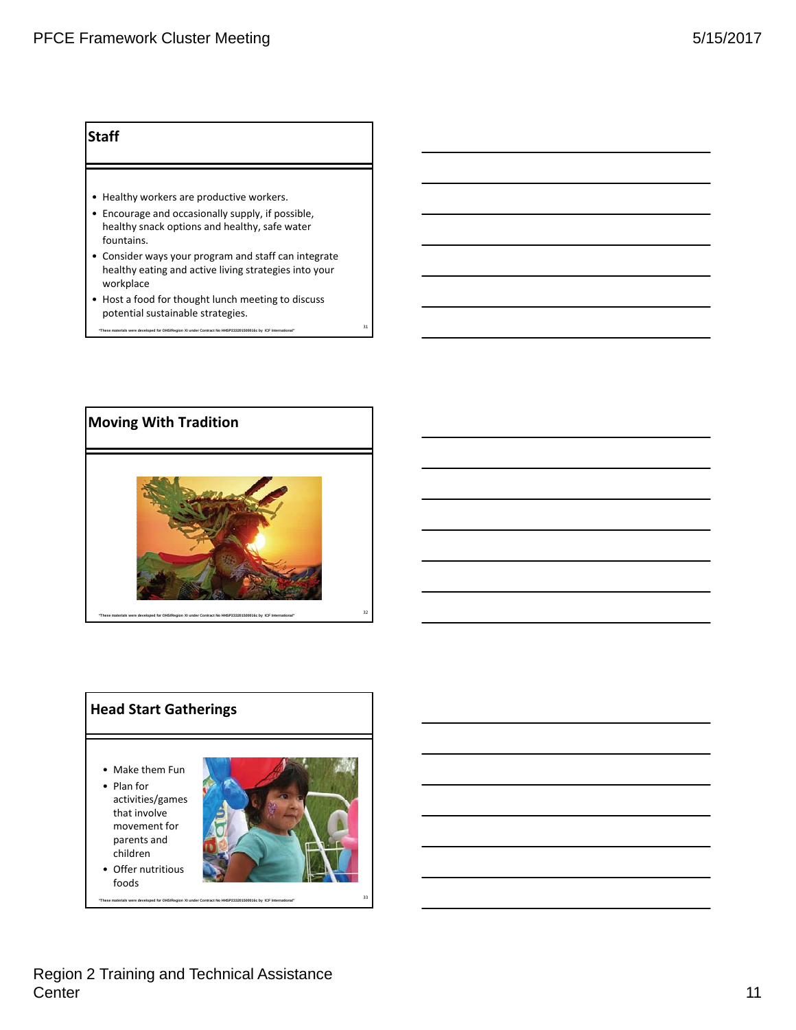### **Staff**

- Healthy workers are productive workers.
- Encourage and occasionally supply, if possible, healthy snack options and healthy, safe water fountains.
- Consider ways your program and staff can integrate healthy eating and active living strategies into your workplace
- Host a food for thought lunch meeting to discuss potential sustainable strategies.

<sup>31</sup> **"These materials were developed for OHS/Region XI under Contract No HHSP233201500016c by ICF International"** 



# **Head Start Gatherings**

- Make them Fun
- Plan for activities/games that involve movement for parents and
- children • Offer nutritious foods

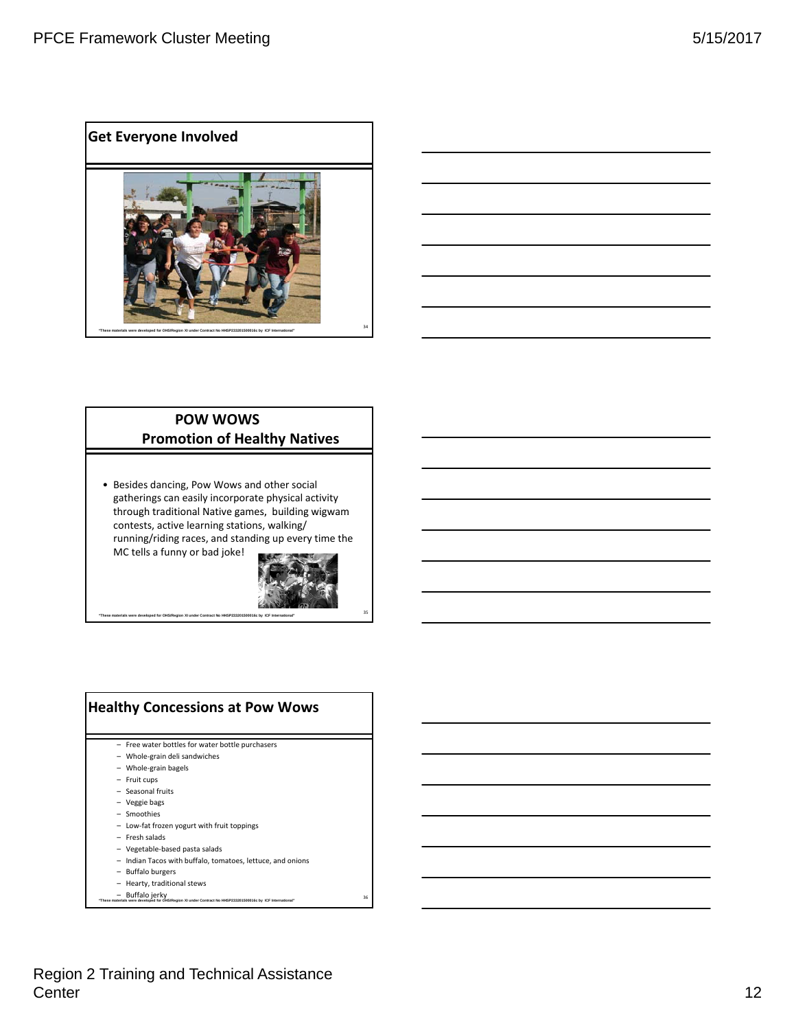**Get Everyone Involved**





### **POW WOWS Promotion of Healthy Natives**

• Besides dancing, Pow Wows and other social gatherings can easily incorporate physical activity through traditional Native games, building wigwam contests, active learning stations, walking/ running/riding races, and standing up every time the MC tells a funny or bad joke!



# **Healthy Concessions at Pow Wows**

- Free water bottles for water bottle purchasers
- Whole‐grain deli sandwiches
- Whole‐grain bagels
- Fruit cups
- Seasonal fruits
- Veggie bags
- Smoothies
- Low‐fat frozen yogurt with fruit toppings
- Fresh salads
- Vegetable‐based pasta salads
- Indian Tacos with buffalo, tomatoes, lettuce, and onions
- Buffalo burgers
- Hearty, traditional stews
- Buffalo jerky<br>36 "The Supertial Developed for OHS/Region XI under Contract No HHSP23